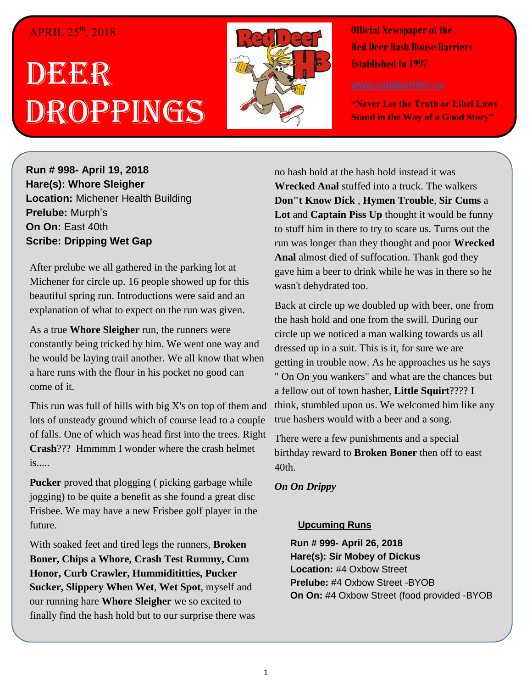#### $APRIL$   $25<sup>th</sup>$ , 2018

# DEERR Droppings



**Official Newspaper of the Red Deer Hash House Harriers Established In 1997** 

**"Never Let the Truth or Libel Laws Stand in the Way of a Good Story"**

**Run # 998- April 19, 2018 Hare(s): Whore Sleigher Location:** Michener Health Building **Prelube:** Murph's **On On:** East 40th **Scribe: Dripping Wet Gap**

After prelube we all gathered in the parking lot at Michener for circle up. 16 people showed up for this beautiful spring run. Introductions were said and an explanation of what to expect on the run was given.

As a true **Whore Sleigher** run, the runners were constantly being tricked by him. We went one way and he would be laying trail another. We all know that when a hare runs with the flour in his pocket no good can come of it.

This run was full of hills with big X's on top of them and lots of unsteady ground which of course lead to a couple of falls. One of which was head first into the trees. Right **Crash**??? Hmmmm I wonder where the crash helmet is.....

**Pucker** proved that plogging ( picking garbage while jogging) to be quite a benefit as she found a great disc Frisbee. We may have a new Frisbee golf player in the future.

With soaked feet and tired legs the runners, **Broken Boner, Chips a Whore, Crash Test Rummy, Cum Honor, Curb Crawler, Hummidititties, Pucker Sucker, Slippery When Wet**, **Wet Spot**, myself and our running hare **Whore Sleigher** we so excited to finally find the hash hold but to our surprise there was no hash hold at the hash hold instead it was **Wrecked Anal** stuffed into a truck. The walkers **Don"t Know Dick** , **Hymen Trouble**, **Sir Cums** a **Lot** and **Captain Piss Up** thought it would be funny to stuff him in there to try to scare us. Turns out the run was longer than they thought and poor **Wrecked Anal** almost died of suffocation. Thank god they gave him a beer to drink while he was in there so he wasn't dehydrated too.

Back at circle up we doubled up with beer, one from the hash hold and one from the swill. During our circle up we noticed a man walking towards us all dressed up in a suit. This is it, for sure we are getting in trouble now. As he approaches us he says " On On you wankers" and what are the chances but a fellow out of town hasher, **Little Squirt**???? I think, stumbled upon us. We welcomed him like any true hashers would with a beer and a song.

There were a few punishments and a special birthday reward to **Broken Boner** then off to east 40th.

*On On Drippy*

#### **Upcuming Runs**

**Run # 999- April 26, 2018 Hare(s): Sir Mobey of Dickus Location:** #4 Oxbow Street **Prelube:** #4 Oxbow Street -BYOB **On On:** #4 Oxbow Street (food provided -BYOB